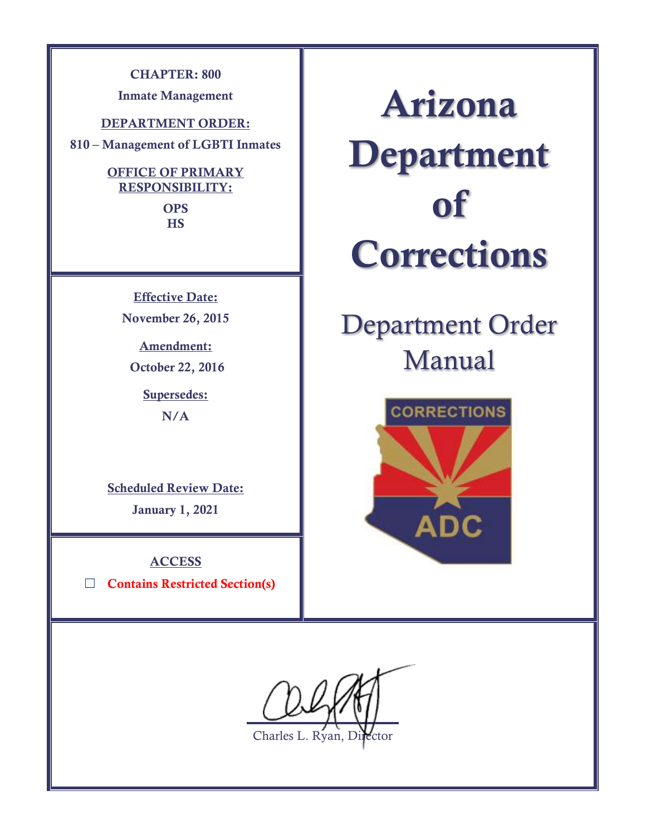**CHAPTER: 800**

**Inmate Management**

**DEPARTMENT ORDER:**

**810 – Management of LGBTI Inmates**

## **OFFICE OF PRIMARY RESPONSIBILITY:**

**OPS HS**

**Effective Date: November 26, 2015**

**Amendment: October 22, 2016**

**Supersedes:**

**N/A**

**Scheduled Review Date: January 1, 2021**

**ACCESS** ☐ **Contains Restricted Section(s)**

**Arizona Department of Corrections**

# Department Order Manual



 $\overline{a}$ 

Charles L. Ryan, Director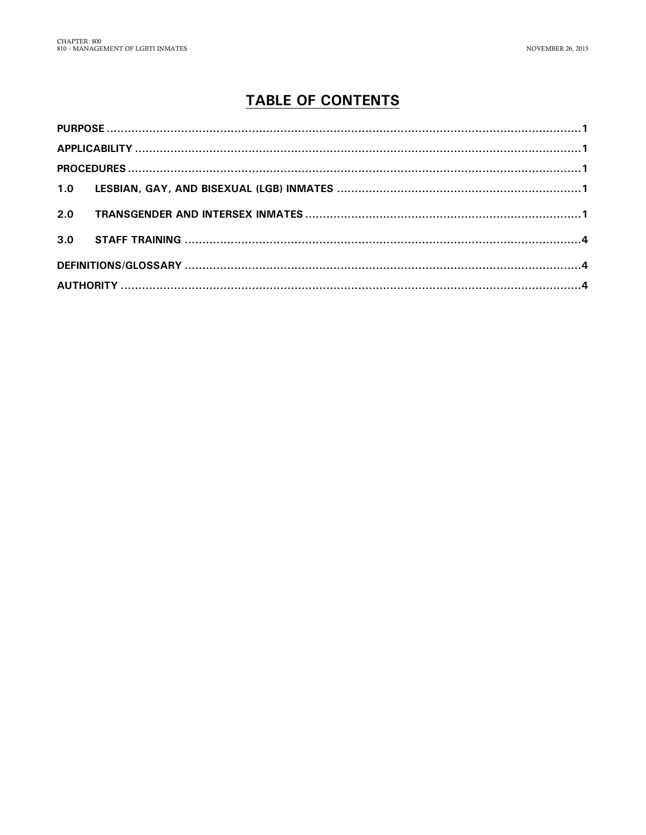# **TABLE OF CONTENTS**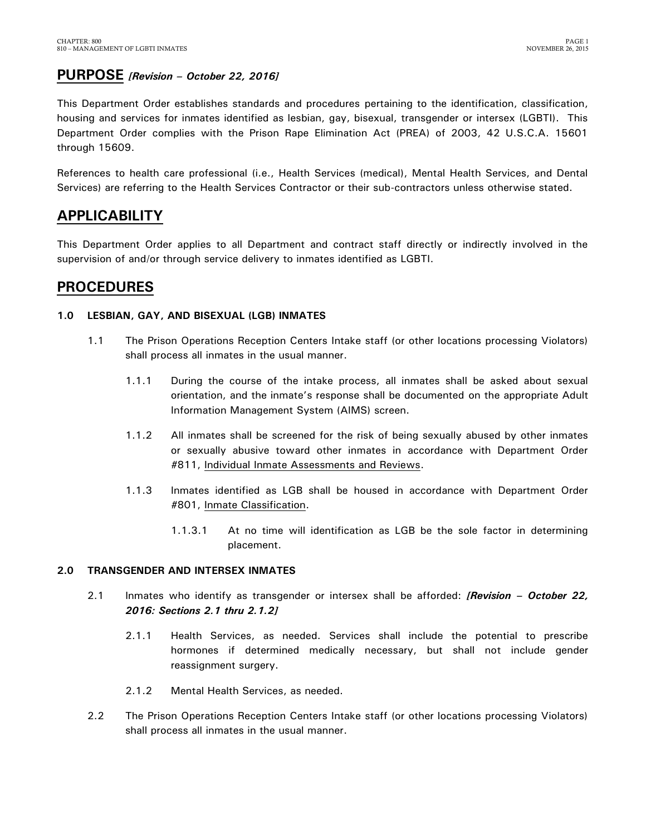## <span id="page-2-0"></span>**PURPOSE** *[Revision – October 22, 2016]*

This Department Order establishes standards and procedures pertaining to the identification, classification, housing and services for inmates identified as lesbian, gay, bisexual, transgender or intersex (LGBTI). This Department Order complies with the Prison Rape Elimination Act (PREA) of 2003, 42 U.S.C.A. 15601 through 15609.

References to health care professional (i.e., Health Services (medical), Mental Health Services, and Dental Services) are referring to the Health Services Contractor or their sub-contractors unless otherwise stated.

# <span id="page-2-1"></span>**APPLICABILITY**

This Department Order applies to all Department and contract staff directly or indirectly involved in the supervision of and/or through service delivery to inmates identified as LGBTI.

# <span id="page-2-2"></span>**PROCEDURES**

#### <span id="page-2-3"></span>**1.0 LESBIAN, GAY, AND BISEXUAL (LGB) INMATES**

- 1.1 The Prison Operations Reception Centers Intake staff (or other locations processing Violators) shall process all inmates in the usual manner.
	- 1.1.1 During the course of the intake process, all inmates shall be asked about sexual orientation, and the inmate's response shall be documented on the appropriate Adult Information Management System (AIMS) screen.
	- 1.1.2 All inmates shall be screened for the risk of being sexually abused by other inmates or sexually abusive toward other inmates in accordance with Department Order #811, Individual Inmate Assessments and Reviews.
	- 1.1.3 Inmates identified as LGB shall be housed in accordance with Department Order #801, Inmate Classification.
		- 1.1.3.1 At no time will identification as LGB be the sole factor in determining placement.

#### <span id="page-2-4"></span>**2.0 TRANSGENDER AND INTERSEX INMATES**

- 2.1 Inmates who identify as transgender or intersex shall be afforded: *[Revision – October 22, 2016: Sections 2.1 thru 2.1.2]*
	- 2.1.1 Health Services, as needed. Services shall include the potential to prescribe hormones if determined medically necessary, but shall not include gender reassignment surgery.
	- 2.1.2 Mental Health Services, as needed.
- 2.2 The Prison Operations Reception Centers Intake staff (or other locations processing Violators) shall process all inmates in the usual manner.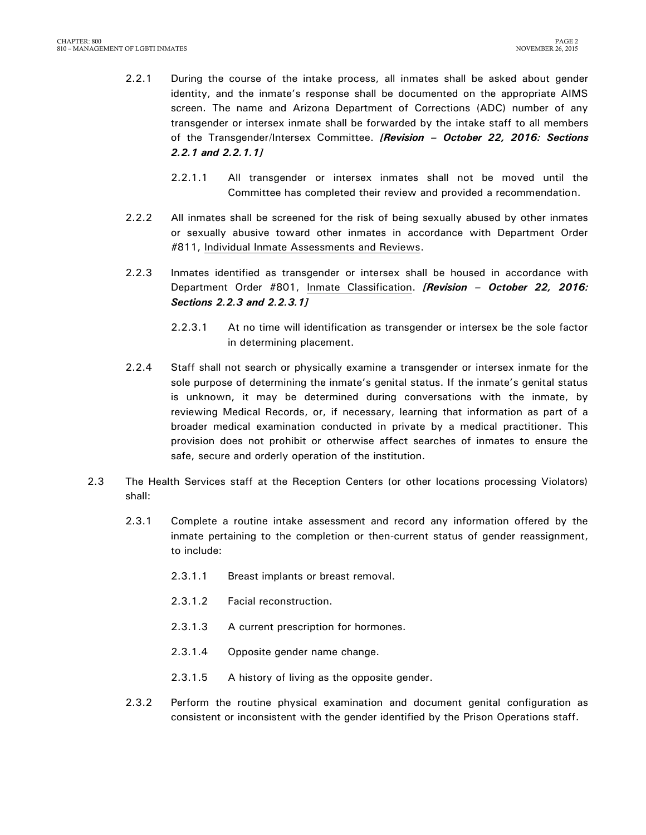- 2.2.1 During the course of the intake process, all inmates shall be asked about gender identity, and the inmate's response shall be documented on the appropriate AIMS screen. The name and Arizona Department of Corrections (ADC) number of any transgender or intersex inmate shall be forwarded by the intake staff to all members of the Transgender/Intersex Committee. *[Revision – October 22, 2016: Sections 2.2.1 and 2.2.1.1]*
	- 2.2.1.1 All transgender or intersex inmates shall not be moved until the Committee has completed their review and provided a recommendation.
- 2.2.2 All inmates shall be screened for the risk of being sexually abused by other inmates or sexually abusive toward other inmates in accordance with Department Order #811, Individual Inmate Assessments and Reviews.
- 2.2.3 Inmates identified as transgender or intersex shall be housed in accordance with Department Order #801, Inmate Classification. *[Revision – October 22, 2016: Sections 2.2.3 and 2.2.3.1]*
	- 2.2.3.1 At no time will identification as transgender or intersex be the sole factor in determining placement.
- 2.2.4 Staff shall not search or physically examine a transgender or intersex inmate for the sole purpose of determining the inmate's genital status. If the inmate's genital status is unknown, it may be determined during conversations with the inmate, by reviewing Medical Records, or, if necessary, learning that information as part of a broader medical examination conducted in private by a medical practitioner. This provision does not prohibit or otherwise affect searches of inmates to ensure the safe, secure and orderly operation of the institution.
- 2.3 The Health Services staff at the Reception Centers (or other locations processing Violators) shall:
	- 2.3.1 Complete a routine intake assessment and record any information offered by the inmate pertaining to the completion or then-current status of gender reassignment, to include:
		- 2.3.1.1 Breast implants or breast removal.
		- 2.3.1.2 Facial reconstruction.
		- 2.3.1.3 A current prescription for hormones.
		- 2.3.1.4 Opposite gender name change.
		- 2.3.1.5 A history of living as the opposite gender.
	- 2.3.2 Perform the routine physical examination and document genital configuration as consistent or inconsistent with the gender identified by the Prison Operations staff.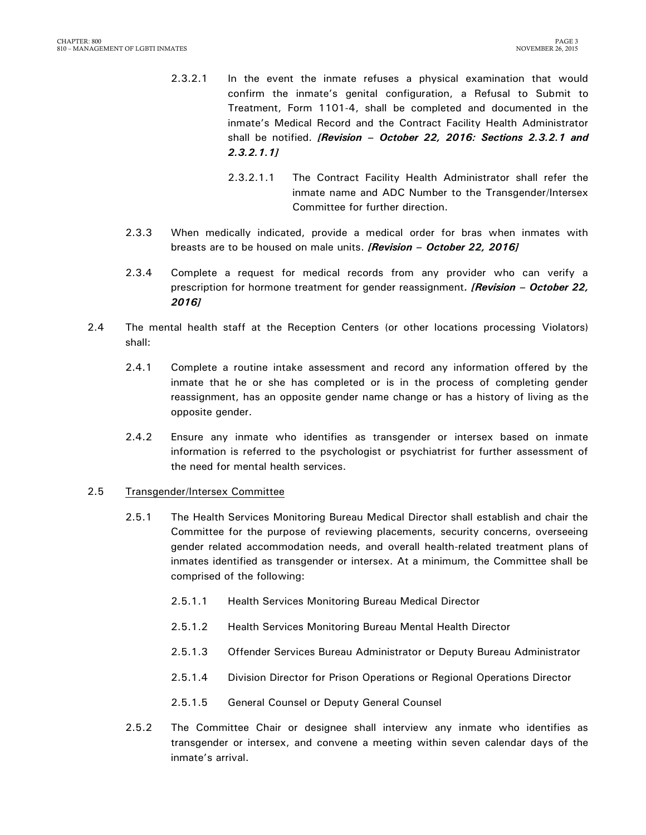- 2.3.2.1 In the event the inmate refuses a physical examination that would confirm the inmate's genital configuration, a Refusal to Submit to Treatment, Form 1101-4, shall be completed and documented in the inmate's Medical Record and the Contract Facility Health Administrator shall be notified. *[Revision – October 22, 2016: Sections 2.3.2.1 and 2.3.2.1.1]*
	- 2.3.2.1.1 The Contract Facility Health Administrator shall refer the inmate name and ADC Number to the Transgender/Intersex Committee for further direction.
- 2.3.3 When medically indicated, provide a medical order for bras when inmates with breasts are to be housed on male units. *[Revision – October 22, 2016]*
- 2.3.4 Complete a request for medical records from any provider who can verify a prescription for hormone treatment for gender reassignment*. [Revision – October 22, 2016]*
- 2.4 The mental health staff at the Reception Centers (or other locations processing Violators) shall:
	- 2.4.1 Complete a routine intake assessment and record any information offered by the inmate that he or she has completed or is in the process of completing gender reassignment, has an opposite gender name change or has a history of living as the opposite gender.
	- 2.4.2 Ensure any inmate who identifies as transgender or intersex based on inmate information is referred to the psychologist or psychiatrist for further assessment of the need for mental health services.

#### 2.5 Transgender/Intersex Committee

- 2.5.1 The Health Services Monitoring Bureau Medical Director shall establish and chair the Committee for the purpose of reviewing placements, security concerns, overseeing gender related accommodation needs, and overall health-related treatment plans of inmates identified as transgender or intersex. At a minimum, the Committee shall be comprised of the following:
	- 2.5.1.1 Health Services Monitoring Bureau Medical Director
	- 2.5.1.2 Health Services Monitoring Bureau Mental Health Director
	- 2.5.1.3 Offender Services Bureau Administrator or Deputy Bureau Administrator
	- 2.5.1.4 Division Director for Prison Operations or Regional Operations Director
	- 2.5.1.5 General Counsel or Deputy General Counsel
- 2.5.2 The Committee Chair or designee shall interview any inmate who identifies as transgender or intersex, and convene a meeting within seven calendar days of the inmate's arrival.